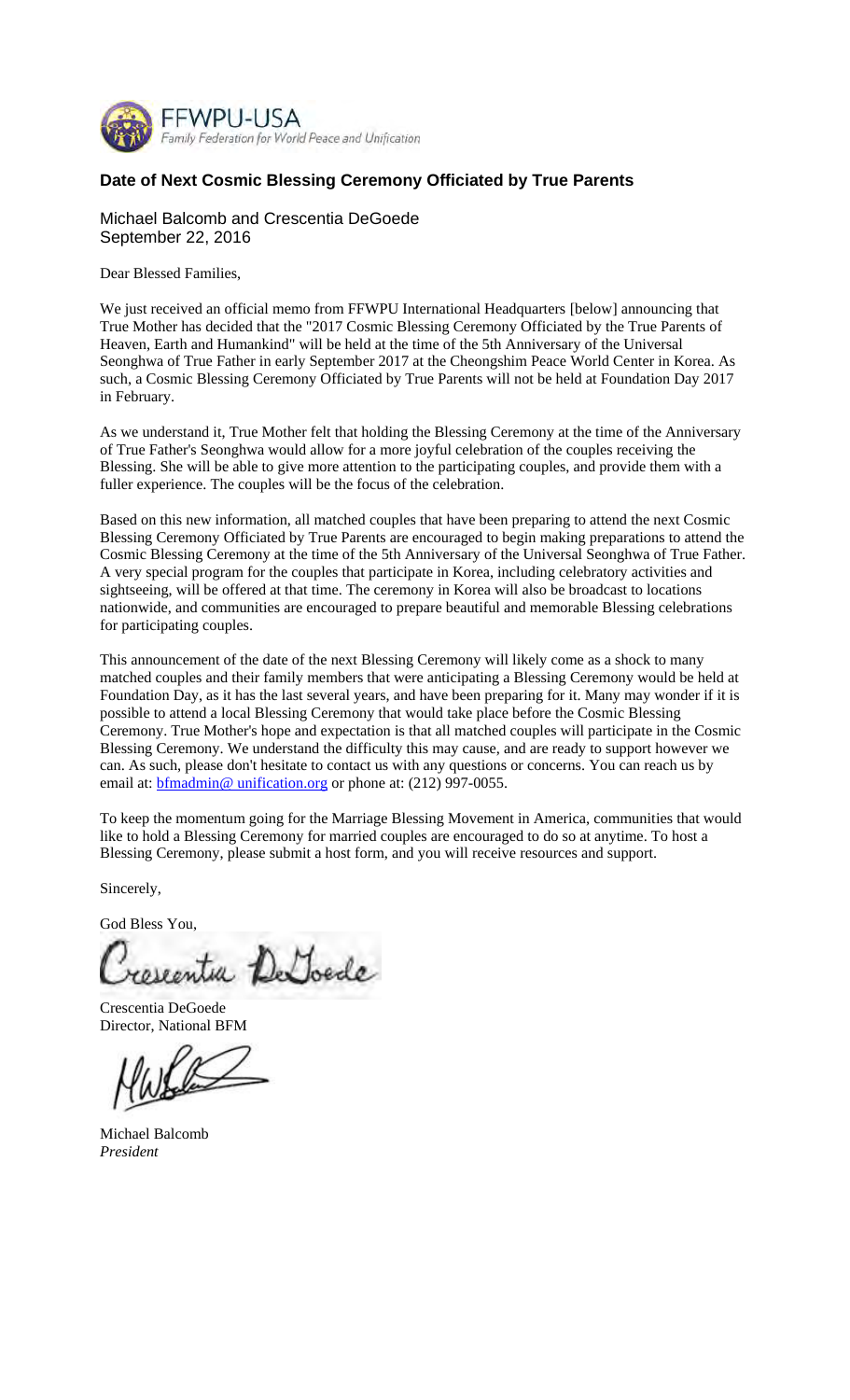

## **Date of Next Cosmic Blessing Ceremony Officiated by True Parents**

## Michael Balcomb and Crescentia DeGoede September 22, 2016

Dear Blessed Families,

We just received an official memo from FFWPU International Headquarters [below] announcing that True Mother has decided that the "2017 Cosmic Blessing Ceremony Officiated by the True Parents of Heaven, Earth and Humankind" will be held at the time of the 5th Anniversary of the Universal Seonghwa of True Father in early September 2017 at the Cheongshim Peace World Center in Korea. As such, a Cosmic Blessing Ceremony Officiated by True Parents will not be held at Foundation Day 2017 in February.

As we understand it, True Mother felt that holding the Blessing Ceremony at the time of the Anniversary of True Father's Seonghwa would allow for a more joyful celebration of the couples receiving the Blessing. She will be able to give more attention to the participating couples, and provide them with a fuller experience. The couples will be the focus of the celebration.

Based on this new information, all matched couples that have been preparing to attend the next Cosmic Blessing Ceremony Officiated by True Parents are encouraged to begin making preparations to attend the Cosmic Blessing Ceremony at the time of the 5th Anniversary of the Universal Seonghwa of True Father. A very special program for the couples that participate in Korea, including celebratory activities and sightseeing, will be offered at that time. The ceremony in Korea will also be broadcast to locations nationwide, and communities are encouraged to prepare beautiful and memorable Blessing celebrations for participating couples.

This announcement of the date of the next Blessing Ceremony will likely come as a shock to many matched couples and their family members that were anticipating a Blessing Ceremony would be held at Foundation Day, as it has the last several years, and have been preparing for it. Many may wonder if it is possible to attend a local Blessing Ceremony that would take place before the Cosmic Blessing Ceremony. True Mother's hope and expectation is that all matched couples will participate in the Cosmic Blessing Ceremony. We understand the difficulty this may cause, and are ready to support however we can. As such, please don't hesitate to contact us with any questions or concerns. You can reach us by email at: **bfmadmin@** unification.org or phone at: (212) 997-0055.

To keep the momentum going for the Marriage Blessing Movement in America, communities that would like to hold a Blessing Ceremony for married couples are encouraged to do so at anytime. To host a Blessing Ceremony, please submit a host form, and you will receive resources and support.

Sincerely,

God Bless You,

eguitar De Joede

Crescentia DeGoede Director, National BFM

Michael Balcomb *President*